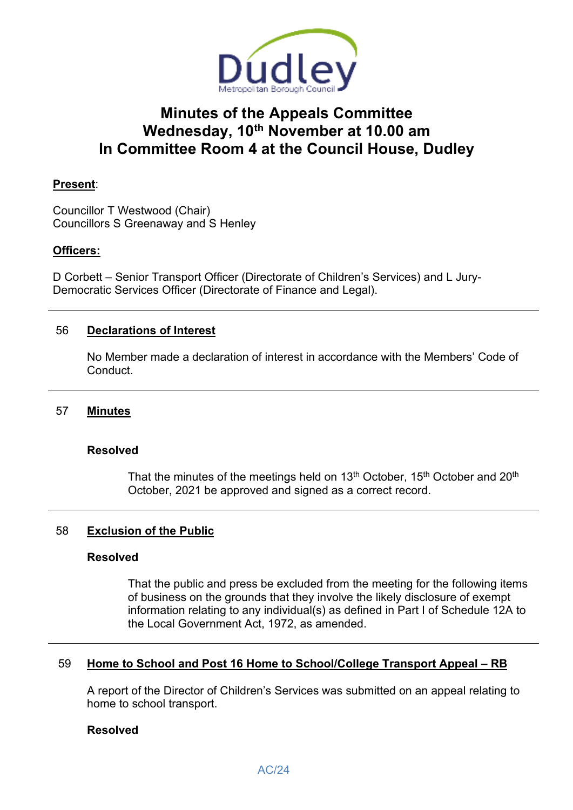

# **Minutes of the Appeals Committee Wednesday, 10th November at 10.00 am In Committee Room 4 at the Council House, Dudley**

# **Present**:

Councillor T Westwood (Chair) Councillors S Greenaway and S Henley

# **Officers:**

D Corbett – Senior Transport Officer (Directorate of Children's Services) and L Jury-Democratic Services Officer (Directorate of Finance and Legal).

# 56 **Declarations of Interest**

 No Member made a declaration of interest in accordance with the Members' Code of Conduct.

## 57 **Minutes**

#### **Resolved**

That the minutes of the meetings held on 13<sup>th</sup> October, 15<sup>th</sup> October and 20<sup>th</sup> October, 2021 be approved and signed as a correct record.

## 58 **Exclusion of the Public**

#### **Resolved**

 That the public and press be excluded from the meeting for the following items of business on the grounds that they involve the likely disclosure of exempt information relating to any individual(s) as defined in Part I of Schedule 12A to the Local Government Act, 1972, as amended.

## 59 **Home to School and Post 16 Home to School/College Transport Appeal – RB**

 A report of the Director of Children's Services was submitted on an appeal relating to home to school transport.

#### **Resolved**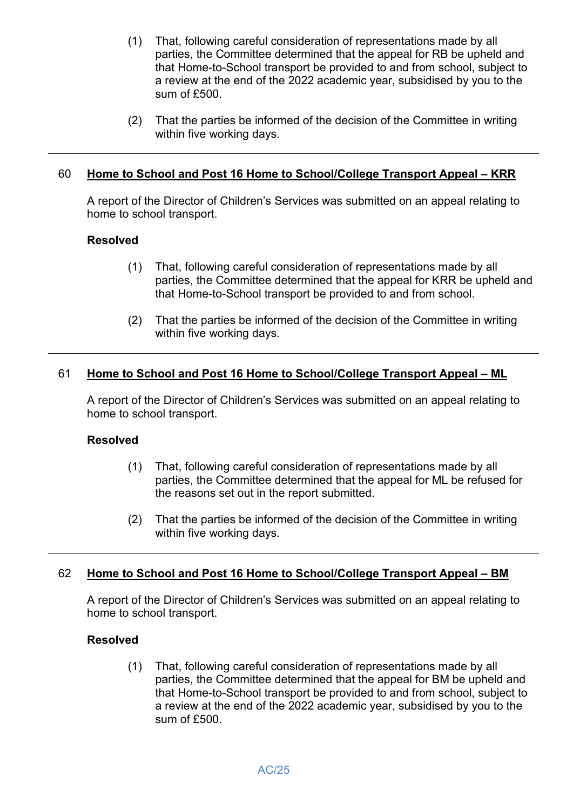- (1) That, following careful consideration of representations made by all parties, the Committee determined that the appeal for RB be upheld and that Home-to-School transport be provided to and from school, subject to a review at the end of the 2022 academic year, subsidised by you to the sum of £500.
- (2) That the parties be informed of the decision of the Committee in writing within five working days.

# 60 **Home to School and Post 16 Home to School/College Transport Appeal – KRR**

 A report of the Director of Children's Services was submitted on an appeal relating to home to school transport.

## **Resolved**

- (1) That, following careful consideration of representations made by all parties, the Committee determined that the appeal for KRR be upheld and that Home-to-School transport be provided to and from school.
- (2) That the parties be informed of the decision of the Committee in writing within five working days.

## 61 **Home to School and Post 16 Home to School/College Transport Appeal – ML**

 A report of the Director of Children's Services was submitted on an appeal relating to home to school transport.

#### **Resolved**

- (1) That, following careful consideration of representations made by all parties, the Committee determined that the appeal for ML be refused for the reasons set out in the report submitted.
- (2) That the parties be informed of the decision of the Committee in writing within five working days.

## 62 **Home to School and Post 16 Home to School/College Transport Appeal – BM**

 A report of the Director of Children's Services was submitted on an appeal relating to home to school transport.

#### **Resolved**

(1) That, following careful consideration of representations made by all parties, the Committee determined that the appeal for BM be upheld and that Home-to-School transport be provided to and from school, subject to a review at the end of the 2022 academic year, subsidised by you to the sum of £500.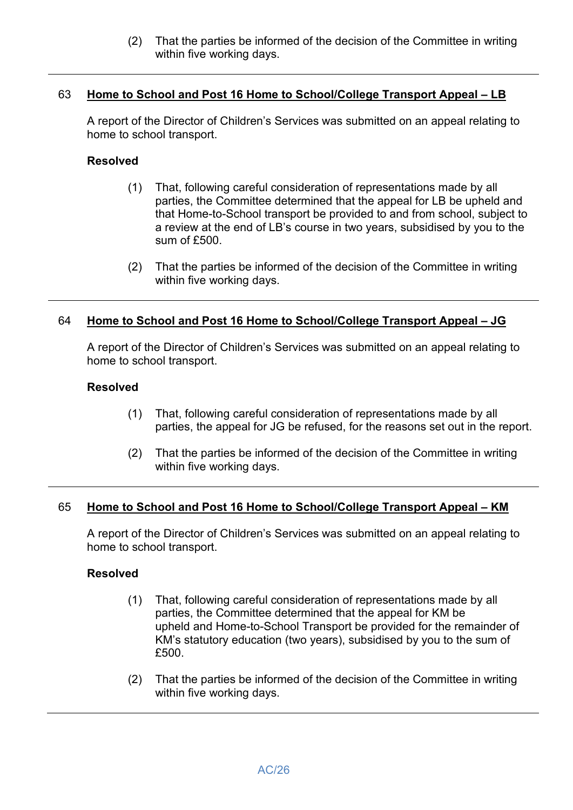(2) That the parties be informed of the decision of the Committee in writing within five working days.

# 63 **Home to School and Post 16 Home to School/College Transport Appeal – LB**

 A report of the Director of Children's Services was submitted on an appeal relating to home to school transport.

## **Resolved**

- (1) That, following careful consideration of representations made by all parties, the Committee determined that the appeal for LB be upheld and that Home-to-School transport be provided to and from school, subject to a review at the end of LB's course in two years, subsidised by you to the sum of £500.
- (2) That the parties be informed of the decision of the Committee in writing within five working days.

# 64 **Home to School and Post 16 Home to School/College Transport Appeal – JG**

 A report of the Director of Children's Services was submitted on an appeal relating to home to school transport.

## **Resolved**

- (1) That, following careful consideration of representations made by all parties, the appeal for JG be refused, for the reasons set out in the report.
- (2) That the parties be informed of the decision of the Committee in writing within five working days.

## 65 **Home to School and Post 16 Home to School/College Transport Appeal – KM**

 A report of the Director of Children's Services was submitted on an appeal relating to home to school transport.

## **Resolved**

- (1) That, following careful consideration of representations made by all parties, the Committee determined that the appeal for KM be upheld and Home-to-School Transport be provided for the remainder of KM's statutory education (two years), subsidised by you to the sum of £500.
- (2) That the parties be informed of the decision of the Committee in writing within five working days.